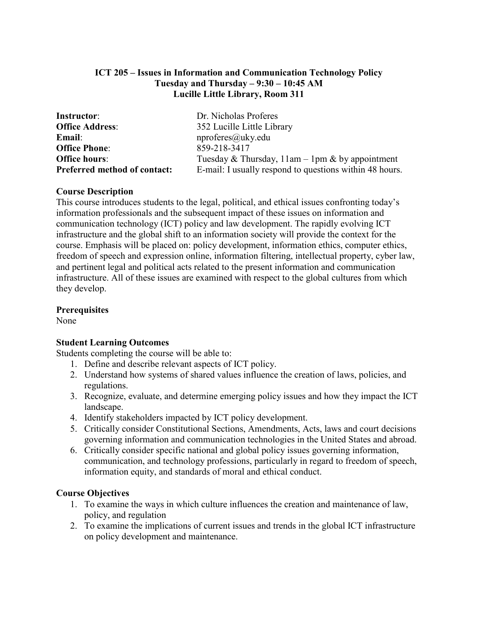## **ICT 205 – Issues in Information and Communication Technology Policy Tuesday and Thursday – 9:30 – 10:45 AM Lucille Little Library, Room 311**

| <b>Instructor:</b>                  | Dr. Nicholas Proferes                                             |
|-------------------------------------|-------------------------------------------------------------------|
| <b>Office Address:</b>              | 352 Lucille Little Library                                        |
| <b>Email:</b>                       | nproferes@uky.edu                                                 |
| <b>Office Phone:</b>                | 859-218-3417                                                      |
| <b>Office hours:</b>                | Tuesday & Thursday, $11 \text{am} - 1 \text{pm}$ & by appointment |
| <b>Preferred method of contact:</b> | E-mail: I usually respond to questions within 48 hours.           |

## **Course Description**

This course introduces students to the legal, political, and ethical issues confronting today's information professionals and the subsequent impact of these issues on information and communication technology (ICT) policy and law development. The rapidly evolving ICT infrastructure and the global shift to an information society will provide the context for the course. Emphasis will be placed on: policy development, information ethics, computer ethics, freedom of speech and expression online, information filtering, intellectual property, cyber law, and pertinent legal and political acts related to the present information and communication infrastructure. All of these issues are examined with respect to the global cultures from which they develop.

## **Prerequisites**

None

## **Student Learning Outcomes**

Students completing the course will be able to:

- 1. Define and describe relevant aspects of ICT policy.
- 2. Understand how systems of shared values influence the creation of laws, policies, and regulations.
- 3. Recognize, evaluate, and determine emerging policy issues and how they impact the ICT landscape.
- 4. Identify stakeholders impacted by ICT policy development.
- 5. Critically consider Constitutional Sections, Amendments, Acts, laws and court decisions governing information and communication technologies in the United States and abroad.
- 6. Critically consider specific national and global policy issues governing information, communication, and technology professions, particularly in regard to freedom of speech, information equity, and standards of moral and ethical conduct.

## **Course Objectives**

- 1. To examine the ways in which culture influences the creation and maintenance of law, policy, and regulation
- 2. To examine the implications of current issues and trends in the global ICT infrastructure on policy development and maintenance.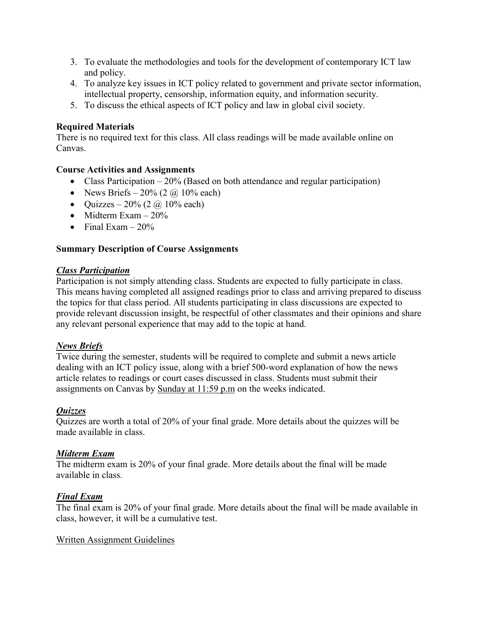- 3. To evaluate the methodologies and tools for the development of contemporary ICT law and policy.
- 4. To analyze key issues in ICT policy related to government and private sector information, intellectual property, censorship, information equity, and information security.
- 5. To discuss the ethical aspects of ICT policy and law in global civil society.

## **Required Materials**

There is no required text for this class. All class readings will be made available online on Canvas.

## **Course Activities and Assignments**

- Class Participation  $-20\%$  (Based on both attendance and regular participation)
- News Briefs  $20\%$  (2  $\omega$  10% each)
- Ouizzes  $20\%$  (2  $\omega$  10% each)
- Midterm Exam  $-20\%$
- Final Exam  $-20\%$

## **Summary Description of Course Assignments**

## *Class Participation*

Participation is not simply attending class. Students are expected to fully participate in class. This means having completed all assigned readings prior to class and arriving prepared to discuss the topics for that class period. All students participating in class discussions are expected to provide relevant discussion insight, be respectful of other classmates and their opinions and share any relevant personal experience that may add to the topic at hand.

## *News Briefs*

Twice during the semester, students will be required to complete and submit a news article dealing with an ICT policy issue, along with a brief 500-word explanation of how the news article relates to readings or court cases discussed in class. Students must submit their assignments on Canvas by Sunday at 11:59 p.m on the weeks indicated.

## *Quizzes*

Quizzes are worth a total of 20% of your final grade. More details about the quizzes will be made available in class.

## *Midterm Exam*

The midterm exam is 20% of your final grade. More details about the final will be made available in class.

## *Final Exam*

The final exam is 20% of your final grade. More details about the final will be made available in class, however, it will be a cumulative test.

## Written Assignment Guidelines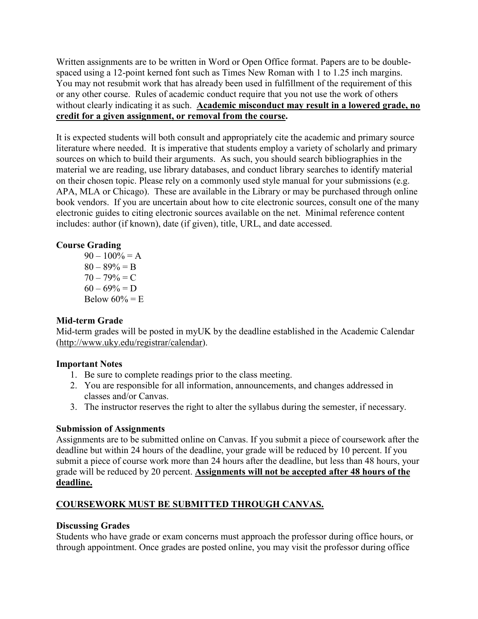Written assignments are to be written in Word or Open Office format. Papers are to be doublespaced using a 12-point kerned font such as Times New Roman with 1 to 1.25 inch margins. You may not resubmit work that has already been used in fulfillment of the requirement of this or any other course. Rules of academic conduct require that you not use the work of others without clearly indicating it as such. **Academic misconduct may result in a lowered grade, no credit for a given assignment, or removal from the course.** 

It is expected students will both consult and appropriately cite the academic and primary source literature where needed. It is imperative that students employ a variety of scholarly and primary sources on which to build their arguments. As such, you should search bibliographies in the material we are reading, use library databases, and conduct library searches to identify material on their chosen topic. Please rely on a commonly used style manual for your submissions (e.g. APA, MLA or Chicago). These are available in the Library or may be purchased through online book vendors. If you are uncertain about how to cite electronic sources, consult one of the many electronic guides to citing electronic sources available on the net. Minimal reference content includes: author (if known), date (if given), title, URL, and date accessed.

## **Course Grading**

 $90 - 100\% = A$  $80 - 89\% = B$  $70 - 79\% = C$  $60 - 69\% = D$ Below  $60\% = E$ 

## **Mid-term Grade**

Mid-term grades will be posted in myUK by the deadline established in the Academic Calendar [\(http://www.uky.edu/registrar/calendar\)](http://www.uky.edu/registrar/calendar).

## **Important Notes**

- 1. Be sure to complete readings prior to the class meeting.
- 2. You are responsible for all information, announcements, and changes addressed in classes and/or Canvas.
- 3. The instructor reserves the right to alter the syllabus during the semester, if necessary.

## **Submission of Assignments**

Assignments are to be submitted online on Canvas. If you submit a piece of coursework after the deadline but within 24 hours of the deadline, your grade will be reduced by 10 percent. If you submit a piece of course work more than 24 hours after the deadline, but less than 48 hours, your grade will be reduced by 20 percent. **Assignments will not be accepted after 48 hours of the deadline.**

# **COURSEWORK MUST BE SUBMITTED THROUGH CANVAS.**

## **Discussing Grades**

Students who have grade or exam concerns must approach the professor during office hours, or through appointment. Once grades are posted online, you may visit the professor during office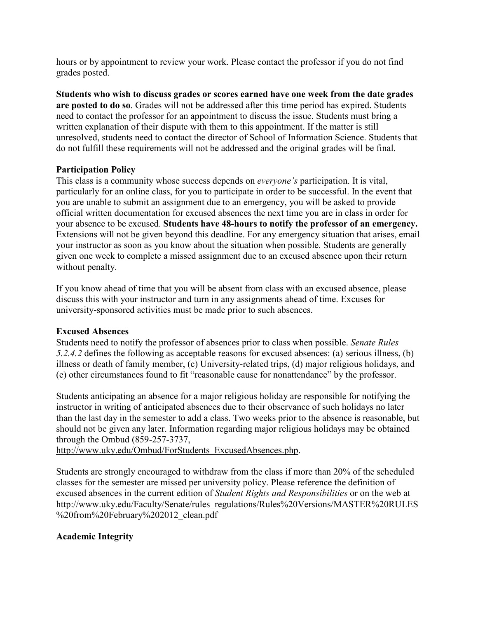hours or by appointment to review your work. Please contact the professor if you do not find grades posted.

**Students who wish to discuss grades or scores earned have one week from the date grades are posted to do so**. Grades will not be addressed after this time period has expired. Students need to contact the professor for an appointment to discuss the issue. Students must bring a written explanation of their dispute with them to this appointment. If the matter is still unresolved, students need to contact the director of School of Information Science. Students that do not fulfill these requirements will not be addressed and the original grades will be final.

#### **Participation Policy**

This class is a community whose success depends on *everyone's* participation. It is vital, particularly for an online class, for you to participate in order to be successful. In the event that you are unable to submit an assignment due to an emergency, you will be asked to provide official written documentation for excused absences the next time you are in class in order for your absence to be excused. **Students have 48-hours to notify the professor of an emergency.** Extensions will not be given beyond this deadline. For any emergency situation that arises, email your instructor as soon as you know about the situation when possible. Students are generally given one week to complete a missed assignment due to an excused absence upon their return without penalty.

If you know ahead of time that you will be absent from class with an excused absence, please discuss this with your instructor and turn in any assignments ahead of time. Excuses for university-sponsored activities must be made prior to such absences.

#### **Excused Absences**

Students need to notify the professor of absences prior to class when possible. *Senate Rules 5.2.4.2* defines the following as acceptable reasons for excused absences: (a) serious illness, (b) illness or death of family member, (c) University-related trips, (d) major religious holidays, and (e) other circumstances found to fit "reasonable cause for nonattendance" by the professor.

Students anticipating an absence for a major religious holiday are responsible for notifying the instructor in writing of anticipated absences due to their observance of such holidays no later than the last day in the semester to add a class. Two weeks prior to the absence is reasonable, but should not be given any later. Information regarding major religious holidays may be obtained through the Ombud (859-257-3737,

[http://www.uky.edu/Ombud/ForStudents\\_ExcusedAbsences.php.](http://www.uky.edu/Ombud/ForStudents_ExcusedAbsences.php)

Students are strongly encouraged to withdraw from the class if more than 20% of the scheduled classes for the semester are missed per university policy. Please reference the definition of excused absences in the current edition of *Student Rights and Responsibilities* or on the web at http://www.uky.edu/Faculty/Senate/rules\_regulations/Rules%20Versions/MASTER%20RULES %20from%20February%202012 clean.pdf

## **Academic Integrity**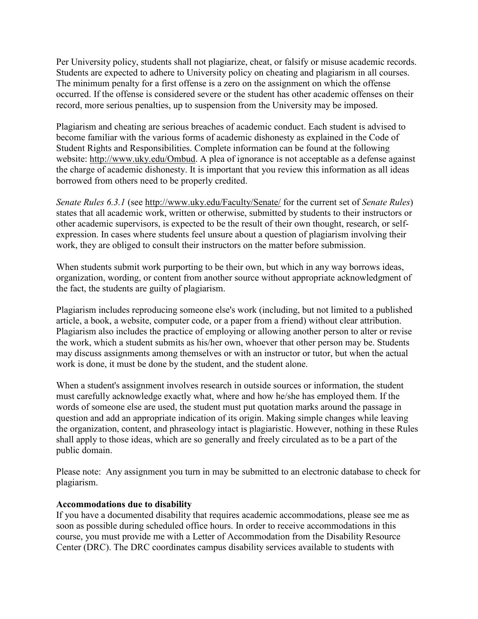Per University policy, students shall not plagiarize, cheat, or falsify or misuse academic records. Students are expected to adhere to University policy on cheating and plagiarism in all courses. The minimum penalty for a first offense is a zero on the assignment on which the offense occurred. If the offense is considered severe or the student has other academic offenses on their record, more serious penalties, up to suspension from the University may be imposed.

Plagiarism and cheating are serious breaches of academic conduct. Each student is advised to become familiar with the various forms of academic dishonesty as explained in the Code of Student Rights and Responsibilities. Complete information can be found at the following website: [http://www.uky.edu/Ombud.](http://www.uky.edu/Ombud) A plea of ignorance is not acceptable as a defense against the charge of academic dishonesty. It is important that you review this information as all ideas borrowed from others need to be properly credited.

*Senate Rules 6.3.1* (see<http://www.uky.edu/Faculty/Senate/> for the current set of *Senate Rules*) states that all academic work, written or otherwise, submitted by students to their instructors or other academic supervisors, is expected to be the result of their own thought, research, or selfexpression. In cases where students feel unsure about a question of plagiarism involving their work, they are obliged to consult their instructors on the matter before submission.

When students submit work purporting to be their own, but which in any way borrows ideas, organization, wording, or content from another source without appropriate acknowledgment of the fact, the students are guilty of plagiarism.

Plagiarism includes reproducing someone else's work (including, but not limited to a published article, a book, a website, computer code, or a paper from a friend) without clear attribution. Plagiarism also includes the practice of employing or allowing another person to alter or revise the work, which a student submits as his/her own, whoever that other person may be. Students may discuss assignments among themselves or with an instructor or tutor, but when the actual work is done, it must be done by the student, and the student alone.

When a student's assignment involves research in outside sources or information, the student must carefully acknowledge exactly what, where and how he/she has employed them. If the words of someone else are used, the student must put quotation marks around the passage in question and add an appropriate indication of its origin. Making simple changes while leaving the organization, content, and phraseology intact is plagiaristic. However, nothing in these Rules shall apply to those ideas, which are so generally and freely circulated as to be a part of the public domain.

Please note: Any assignment you turn in may be submitted to an electronic database to check for plagiarism.

#### **Accommodations due to disability**

If you have a documented disability that requires academic accommodations, please see me as soon as possible during scheduled office hours. In order to receive accommodations in this course, you must provide me with a Letter of Accommodation from the Disability Resource Center (DRC). The DRC coordinates campus disability services available to students with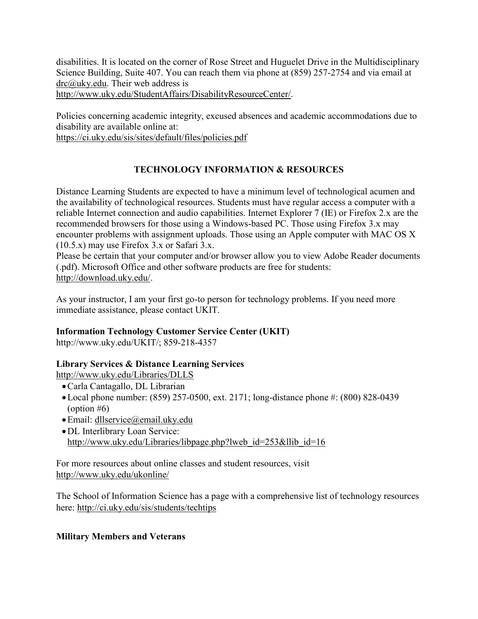disabilities. It is located on the corner of Rose Street and Huguelet Drive in the Multidisciplinary Science Building, Suite 407. You can reach them via phone at (859) 257-2754 and via email at [drc@uky.edu.](mailto:drc@uky.edu) Their web address is [http://www.uky.edu/StudentAffairs/DisabilityResourceCenter/.](http://www.uky.edu/StudentAffairs/DisabilityResourceCenter/)

Policies concerning academic integrity, excused absences and academic accommodations due to disability are available online at:

<https://ci.uky.edu/sis/sites/default/files/policies.pdf>

# **TECHNOLOGY INFORMATION & RESOURCES**

Distance Learning Students are expected to have a minimum level of technological acumen and the availability of technological resources. Students must have regular access a computer with a reliable Internet connection and audio capabilities. Internet Explorer 7 (IE) or Firefox 2.x are the recommended browsers for those using a Windows-based PC. Those using Firefox 3.x may encounter problems with assignment uploads. Those using an Apple computer with MAC OS X (10.5.x) may use Firefox 3.x or Safari 3.x.

Please be certain that your computer and/or browser allow you to view Adobe Reader documents (.pdf). Microsoft Office and other software products are free for students: [http://download.uky.edu/.](http://download.uky.edu/)

As your instructor, I am your first go-to person for technology problems. If you need more immediate assistance, please contact UKIT.

## **Information Technology Customer Service Center (UKIT)**

http://www.uky.edu/UKIT/; 859-218-4357

## **Library Services & Distance Learning Services**

<http://www.uky.edu/Libraries/DLLS>

- •Carla Cantagallo, DL Librarian
- •Local phone number: (859) 257-0500, ext. 2171; long-distance phone #: (800) 828-0439 (option  $#6$ )
- •Email: [dllservice@email.uky.edu](mailto:dllservice@email.uky.edu)
- •DL Interlibrary Loan Service: [http://www.uky.edu/Libraries/libpage.php?lweb\\_id=253&llib\\_id=16](http://www.uky.edu/Libraries/libpage.php?lweb_id=253&llib_id=16)

For more resources about online classes and student resources, visit <http://www.uky.edu/ukonline/>

The School of Information Science has a page with a comprehensive list of technology resources here:<http://ci.uky.edu/sis/students/techtips>

## **Military Members and Veterans**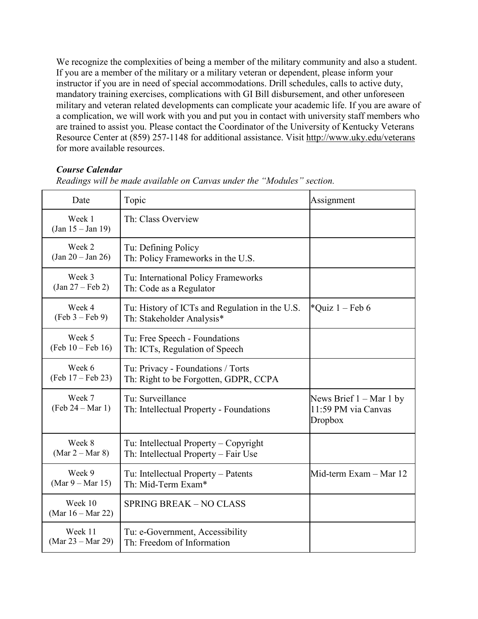We recognize the complexities of being a member of the military community and also a student. If you are a member of the military or a military veteran or dependent, please inform your instructor if you are in need of special accommodations. Drill schedules, calls to active duty, mandatory training exercises, complications with GI Bill disbursement, and other unforeseen military and veteran related developments can complicate your academic life. If you are aware of a complication, we will work with you and put you in contact with university staff members who are trained to assist you. Please contact the Coordinator of the University of Kentucky Veterans Resource Center at (859) 257-1148 for additional assistance. Visit<http://www.uky.edu/veterans> for more available resources.

#### *Course Calendar*

| Date                                    | Topic                                                                         | Assignment                                                  |
|-----------------------------------------|-------------------------------------------------------------------------------|-------------------------------------------------------------|
| Week 1<br>$(Jan 15 - Jan 19)$           | Th: Class Overview                                                            |                                                             |
| Week 2<br>$(Jan 20 - Jan 26)$           | Tu: Defining Policy<br>Th: Policy Frameworks in the U.S.                      |                                                             |
| Week 3<br>$(Jan 27 - Feb 2)$            | Tu: International Policy Frameworks<br>Th: Code as a Regulator                |                                                             |
| Week 4<br>$(Feb 3 - Feb 9)$             | Tu: History of ICTs and Regulation in the U.S.<br>Th: Stakeholder Analysis*   | *Quiz $1 - \text{Feb } 6$                                   |
| Week 5<br>$(Feb 10 - Feb 16)$           | Tu: Free Speech - Foundations<br>Th: ICTs, Regulation of Speech               |                                                             |
| Week 6<br>$(Feb 17 - Feb 23)$           | Tu: Privacy - Foundations / Torts<br>Th: Right to be Forgotten, GDPR, CCPA    |                                                             |
| Week 7<br>$(Feb 24 - Mar 1)$            | Tu: Surveillance<br>Th: Intellectual Property - Foundations                   | News Brief $1 - Mar 1 by$<br>11:59 PM via Canvas<br>Dropbox |
| Week 8<br>$(Mar 2 - Mar 8)$             | Tu: Intellectual Property - Copyright<br>Th: Intellectual Property - Fair Use |                                                             |
| Week 9<br>$(Mar 9 - Mar 15)$            | Tu: Intellectual Property – Patents<br>Th: Mid-Term Exam*                     | Mid-term Exam - Mar 12                                      |
| Week 10<br>(Mar $16 - \text{Mar } 22$ ) | <b>SPRING BREAK - NO CLASS</b>                                                |                                                             |
| Week 11<br>(Mar 23 – Mar 29)            | Tu: e-Government, Accessibility<br>Th: Freedom of Information                 |                                                             |

*Readings will be made available on Canvas under the "Modules" section.*